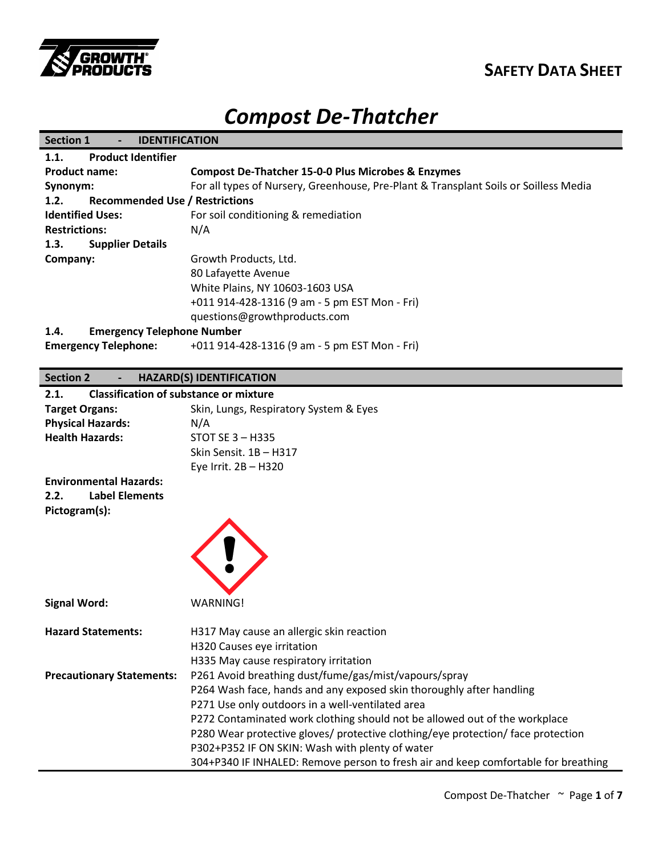

## **SAFETY DATA SHEET**

# *Compost De-Thatcher*

| <b>IDENTIFICATION</b>                                                                |
|--------------------------------------------------------------------------------------|
|                                                                                      |
| <b>Compost De-Thatcher 15-0-0 Plus Microbes &amp; Enzymes</b>                        |
| For all types of Nursery, Greenhouse, Pre-Plant & Transplant Soils or Soilless Media |
| <b>Recommended Use / Restrictions</b>                                                |
| For soil conditioning & remediation                                                  |
| N/A                                                                                  |
|                                                                                      |
| Growth Products, Ltd.                                                                |
| 80 Lafayette Avenue                                                                  |
| White Plains, NY 10603-1603 USA                                                      |
| +011 914-428-1316 (9 am - 5 pm EST Mon - Fri)                                        |
| questions@growthproducts.com                                                         |
| <b>Emergency Telephone Number</b>                                                    |
| +011 914-428-1316 (9 am - 5 pm EST Mon - Fri)                                        |
|                                                                                      |

### **Section 2 - HAZARD(S) IDENTIFICATION**

| 2.1.                             | <b>Classification of substance or mixture</b>                                      |
|----------------------------------|------------------------------------------------------------------------------------|
| <b>Target Organs:</b>            | Skin, Lungs, Respiratory System & Eyes                                             |
| <b>Physical Hazards:</b>         | N/A                                                                                |
| <b>Health Hazards:</b>           | <b>STOT SE 3 - H335</b>                                                            |
|                                  | Skin Sensit. 1B - H317                                                             |
|                                  | Eye Irrit. 2B - H320                                                               |
| <b>Environmental Hazards:</b>    |                                                                                    |
| <b>Label Elements</b><br>2.2.    |                                                                                    |
| Pictogram(s):                    |                                                                                    |
|                                  |                                                                                    |
|                                  |                                                                                    |
|                                  |                                                                                    |
|                                  |                                                                                    |
|                                  |                                                                                    |
|                                  |                                                                                    |
| <b>Signal Word:</b>              | <b>WARNING!</b>                                                                    |
| <b>Hazard Statements:</b>        | H317 May cause an allergic skin reaction                                           |
|                                  | H320 Causes eye irritation                                                         |
|                                  | H335 May cause respiratory irritation                                              |
| <b>Precautionary Statements:</b> | P261 Avoid breathing dust/fume/gas/mist/vapours/spray                              |
|                                  | P264 Wash face, hands and any exposed skin thoroughly after handling               |
|                                  | P271 Use only outdoors in a well-ventilated area                                   |
|                                  | P272 Contaminated work clothing should not be allowed out of the workplace         |
|                                  | P280 Wear protective gloves/ protective clothing/eye protection/ face protection   |
|                                  | P302+P352 IF ON SKIN: Wash with plenty of water                                    |
|                                  | 304+P340 IF INHALED: Remove person to fresh air and keep comfortable for breathing |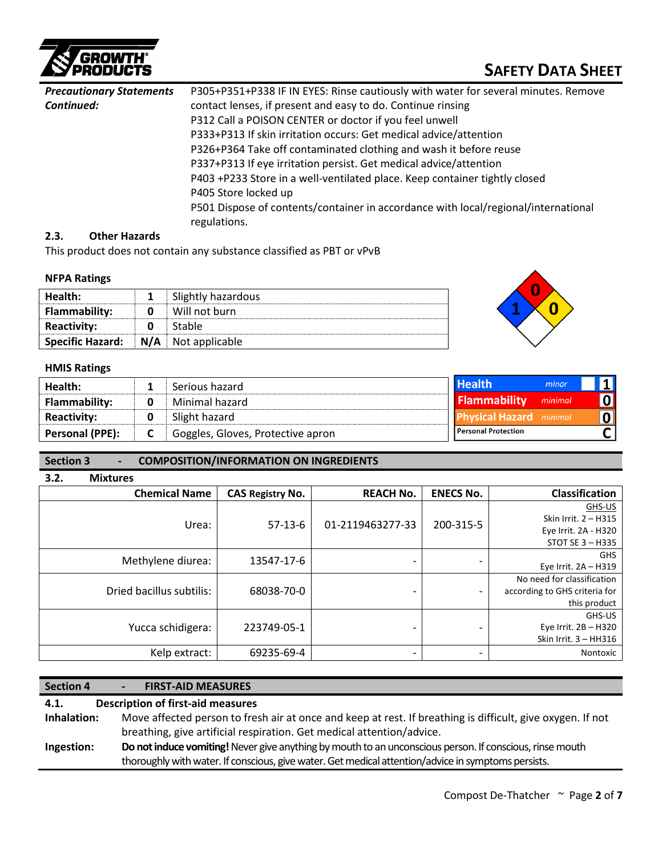

## **SAFETY DATA SHEET**

| <b>Precautionary Statements</b> | P305+P351+P338 IF IN EYES: Rinse cautiously with water for several minutes. Remove |  |  |  |  |
|---------------------------------|------------------------------------------------------------------------------------|--|--|--|--|
| Continued:                      | contact lenses, if present and easy to do. Continue rinsing                        |  |  |  |  |
|                                 | P312 Call a POISON CENTER or doctor if you feel unwell                             |  |  |  |  |
|                                 | P333+P313 If skin irritation occurs: Get medical advice/attention                  |  |  |  |  |
|                                 | P326+P364 Take off contaminated clothing and wash it before reuse                  |  |  |  |  |
|                                 | P337+P313 If eye irritation persist. Get medical advice/attention                  |  |  |  |  |
|                                 | P403 +P233 Store in a well-ventilated place. Keep container tightly closed         |  |  |  |  |
|                                 | P405 Store locked up                                                               |  |  |  |  |
|                                 | P501 Dispose of contents/container in accordance with local/regional/international |  |  |  |  |
|                                 | regulations.                                                                       |  |  |  |  |

#### **2.3. Other Hazards**

This product does not contain any substance classified as PBT or vPvB

#### **NFPA Ratings**

| Health:                 |     | Slightly hazardous |
|-------------------------|-----|--------------------|
| <b>Flammability:</b>    |     | Will not burn      |
| <b>Reactivity:</b>      |     | Stable             |
| <b>Specific Hazard:</b> | N/A | Not applicable     |



#### **HMIS Ratings**

| Health:              |   | Serious hazard                    | <b>Health</b>                  | minor   |                         |
|----------------------|---|-----------------------------------|--------------------------------|---------|-------------------------|
| <b>Flammability:</b> | 0 | Minimal hazard                    | <b>Flammability</b>            | minimal | 0                       |
| <b>Reactivity:</b>   |   | Slight hazard                     | <b>Physical Hazard</b> minimal |         | $\overline{\mathbf{0}}$ |
| Personal (PPE):      | ◡ | Goggles, Gloves, Protective apron | <b>Personal Protection</b>     |         |                         |

#### **Section 3 - COMPOSITION/INFORMATION ON INGREDIENTS**

| 3.2. | <b>Mixtures</b>          |                         |                          |                          |                               |  |              |
|------|--------------------------|-------------------------|--------------------------|--------------------------|-------------------------------|--|--------------|
|      | <b>Chemical Name</b>     | <b>CAS Registry No.</b> | <b>REACH No.</b>         | <b>ENECS No.</b>         | <b>Classification</b>         |  |              |
|      |                          |                         |                          |                          | GHS-US                        |  |              |
|      | Urea:                    | $57-13-6$               | 01-2119463277-33         | 200-315-5                | Skin Irrit. 2 - H315          |  |              |
|      |                          |                         |                          |                          | Eye Irrit. 2A - H320          |  |              |
|      |                          |                         |                          |                          | STOT SE 3 - H335              |  |              |
|      | Methylene diurea:        | 13547-17-6              |                          |                          | <b>GHS</b>                    |  |              |
|      |                          |                         |                          |                          | Eye Irrit. 2A - H319          |  |              |
|      |                          |                         |                          |                          | No need for classification    |  |              |
|      | Dried bacillus subtilis: | 68038-70-0              |                          | $\overline{\phantom{0}}$ | according to GHS criteria for |  |              |
|      |                          |                         |                          |                          |                               |  | this product |
|      |                          |                         |                          |                          | GHS-US                        |  |              |
|      | Yucca schidigera:        | 223749-05-1             | -                        |                          | Eye Irrit. 2B - H320          |  |              |
|      |                          |                         |                          |                          | Skin Irrit. $3 - HH316$       |  |              |
|      | Kelp extract:            | 69235-69-4              | $\overline{\phantom{0}}$ |                          | Nontoxic                      |  |              |
|      |                          |                         |                          |                          |                               |  |              |

### **Section 4 - FIRST-AID MEASURES 4.1. Description of first-aid measures Inhalation:** Move affected person to fresh air at once and keep at rest. If breathing is difficult, give oxygen. If not breathing, give artificial respiration. Get medical attention/advice. **Ingestion: Do not induce vomiting!**Never give anything by mouth to an unconscious person. If conscious, rinse mouth thoroughly with water. If conscious, give water.Get medical attention/advice in symptoms persists.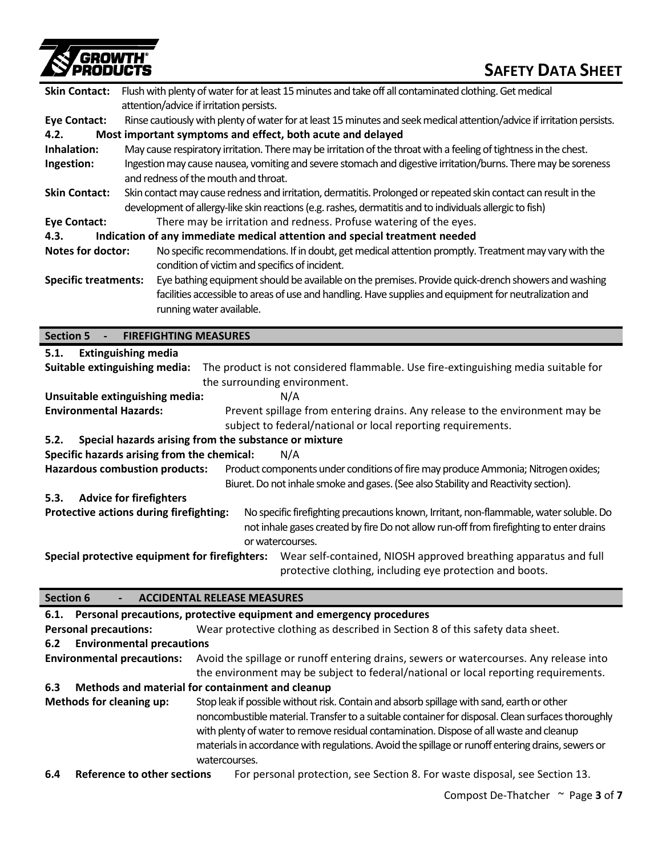

| <b>Skin Contact:</b>          |                                 | Flush with plenty of water for at least 15 minutes and take off all contaminated clothing. Get medical<br>attention/advice if irritation persists.                                                                                        |
|-------------------------------|---------------------------------|-------------------------------------------------------------------------------------------------------------------------------------------------------------------------------------------------------------------------------------------|
| <b>Eye Contact:</b>           |                                 | Rinse cautiously with plenty of water for at least 15 minutes and seek medical attention/advice if irritation persists.                                                                                                                   |
| 4.2.                          |                                 | Most important symptoms and effect, both acute and delayed                                                                                                                                                                                |
| Inhalation:                   |                                 | May cause respiratory irritation. There may be irritation of the throat with a feeling of tightness in the chest.                                                                                                                         |
| Ingestion:                    |                                 | Ingestion may cause nausea, vomiting and severe stomach and digestive irritation/burns. There may be soreness                                                                                                                             |
|                               |                                 | and redness of the mouth and throat.                                                                                                                                                                                                      |
| <b>Skin Contact:</b>          |                                 | Skin contact may cause redness and irritation, dermatitis. Prolonged or repeated skin contact can result in the                                                                                                                           |
|                               |                                 | development of allergy-like skin reactions (e.g. rashes, dermatitis and to individuals allergic to fish)                                                                                                                                  |
| <b>Eye Contact:</b>           |                                 | There may be irritation and redness. Profuse watering of the eyes.                                                                                                                                                                        |
| 4.3.                          |                                 | Indication of any immediate medical attention and special treatment needed                                                                                                                                                                |
| Notes for doctor:             |                                 | No specific recommendations. If in doubt, get medical attention promptly. Treatment may vary with the<br>condition of victim and specifics of incident.                                                                                   |
| <b>Specific treatments:</b>   |                                 | Eye bathing equipment should be available on the premises. Provide quick-drench showers and washing<br>facilities accessible to areas of use and handling. Have supplies and equipment for neutralization and<br>running water available. |
| <b>Section 5</b>              | <b>FIREFIGHTING MEASURES</b>    |                                                                                                                                                                                                                                           |
| 5.1.                          | <b>Extinguishing media</b>      |                                                                                                                                                                                                                                           |
|                               | Suitable extinguishing media:   | The product is not considered flammable. Use fire-extinguishing media suitable for<br>the surrounding environment.                                                                                                                        |
|                               | Unsuitable extinguishing media: | N/A                                                                                                                                                                                                                                       |
| <b>Environmental Hazards:</b> |                                 | Prevent spillage from entering drains. Any release to the environment may be                                                                                                                                                              |

subject to federal/national or local reporting requirements.

### **5.2. Special hazards arising from the substance or mixture**

**Specific hazards arising from the chemical:** N/A

**Hazardous combustion products:** Product components under conditions of fire may produce Ammonia; Nitrogen oxides; Biuret. Do not inhale smoke and gases. (See also Stability and Reactivity section).

**5.3. Advice for firefighters**

**Protective actions during firefighting:** No specific firefighting precautions known, Irritant, non-flammable, water soluble. Do not inhale gases created by fire Do not allow run-off from firefighting to enter drains or watercourses.

**Special protective equipment for firefighters:** Wear self-contained, NIOSH approved breathing apparatus and full protective clothing, including eye protection and boots.

### **Section 6 - ACCIDENTAL RELEASE MEASURES**

|                                                                                                                                                                                                                                                                                                                                                                                                                                             | 6.1. Personal precautions, protective equipment and emergency procedures                                      |                                                                                                                                                                               |  |  |  |  |
|---------------------------------------------------------------------------------------------------------------------------------------------------------------------------------------------------------------------------------------------------------------------------------------------------------------------------------------------------------------------------------------------------------------------------------------------|---------------------------------------------------------------------------------------------------------------|-------------------------------------------------------------------------------------------------------------------------------------------------------------------------------|--|--|--|--|
|                                                                                                                                                                                                                                                                                                                                                                                                                                             | Wear protective clothing as described in Section 8 of this safety data sheet.<br><b>Personal precautions:</b> |                                                                                                                                                                               |  |  |  |  |
| 6.2                                                                                                                                                                                                                                                                                                                                                                                                                                         | <b>Environmental precautions</b>                                                                              |                                                                                                                                                                               |  |  |  |  |
|                                                                                                                                                                                                                                                                                                                                                                                                                                             | <b>Environmental precautions:</b>                                                                             | Avoid the spillage or runoff entering drains, sewers or watercourses. Any release into<br>the environment may be subject to federal/national or local reporting requirements. |  |  |  |  |
| 6.3                                                                                                                                                                                                                                                                                                                                                                                                                                         |                                                                                                               | Methods and material for containment and cleanup                                                                                                                              |  |  |  |  |
| Stop leak if possible without risk. Contain and absorb spillage with sand, earth or other<br>Methods for cleaning up:<br>noncombustible material. Transfer to a suitable container for disposal. Clean surfaces thoroughly<br>with plenty of water to remove residual contamination. Dispose of all waste and cleanup<br>materials in accordance with regulations. Avoid the spillage or runoff entering drains, sewers or<br>watercourses. |                                                                                                               |                                                                                                                                                                               |  |  |  |  |
| 6.4                                                                                                                                                                                                                                                                                                                                                                                                                                         | Reference to other sections                                                                                   | For personal protection, see Section 8. For waste disposal, see Section 13.                                                                                                   |  |  |  |  |

**6.4 Reference to other sections** For personal protection, see Section 8. For waste disposal, see Section 13.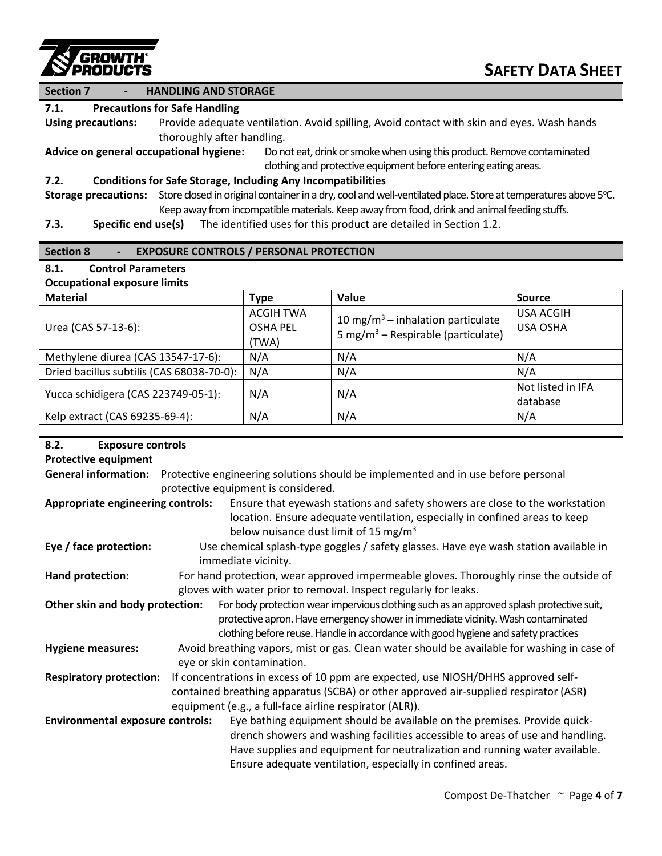

#### **Section 7 - HANDLING AND STORAGE**

#### **7.1. Precautions for Safe Handling**

**Using precautions:** Provide adequate ventilation. Avoid spilling, Avoid contact with skin and eyes. Wash hands thoroughly after handling.

**Advice on general occupational hygiene:** Do not eat, drink or smoke when using this product. Remove contaminated clothing and protective equipment before entering eating areas.

#### **7.2. Conditions for Safe Storage, Including Any Incompatibilities**

Storage precautions: Store closed in original container in a dry, cool and well-ventilated place. Store at temperatures above 5°C. Keep away from incompatible materials. Keep away from food, drink and animal feeding stuffs.

**7.3. Specific end use(s)** The identified uses for this product are detailed in Section 1.2.

#### **Section 8 - EXPOSURE CONTROLS / PERSONAL PROTECTION**

#### **8.1. Control Parameters Occupational exposure limits**

| <b>OCCUPATIONAL CAPOSULE INTIITS</b>      |                                              |                                                                                                 |                                     |
|-------------------------------------------|----------------------------------------------|-------------------------------------------------------------------------------------------------|-------------------------------------|
| <b>Material</b>                           | <b>Type</b>                                  | Value                                                                                           | <b>Source</b>                       |
| Urea (CAS 57-13-6):                       | <b>ACGIH TWA</b><br><b>OSHA PEL</b><br>(TWA) | 10 mg/m <sup>3</sup> – inhalation particulate<br>5 mg/m <sup>3</sup> – Respirable (particulate) | <b>USA ACGIH</b><br><b>USA OSHA</b> |
| Methylene diurea (CAS 13547-17-6):        | N/A                                          | N/A                                                                                             | N/A                                 |
| Dried bacillus subtilis (CAS 68038-70-0): | N/A                                          | N/A                                                                                             | N/A                                 |
| Yucca schidigera (CAS 223749-05-1):       | N/A                                          | N/A                                                                                             | Not listed in IFA<br>database       |
| Kelp extract (CAS 69235-69-4):            | N/A                                          | N/A                                                                                             | N/A                                 |

#### **8.2. Exposure controls**

#### **Protective equipment**

**General information:** Protective engineering solutions should be implemented and in use before personal protective equipment is considered.

- **Appropriate engineering controls:** Ensure that eyewash stations and safety showers are close to the workstation location. Ensure adequate ventilation, especially in confined areas to keep below nuisance dust limit of 15 mg/m<sup>3</sup>
- **Eye / face protection:** Use chemical splash-type goggles / safety glasses. Have eye wash station available in immediate vicinity.
- Hand protection: For hand protection, wear approved impermeable gloves. Thoroughly rinse the outside of gloves with water prior to removal. Inspect regularly for leaks.

**Other skin and body protection:** For body protection wear impervious clothing such as an approved splash protective suit, protective apron. Have emergency shower in immediate vicinity. Wash contaminated clothing before reuse. Handle in accordance with good hygiene and safety practices

**Hygiene measures:** Avoid breathing vapors, mist or gas. Clean water should be available for washing in case of eye or skin contamination.

**Respiratory protection:** If concentrations in excess of 10 ppm are expected, use NIOSH/DHHS approved selfcontained breathing apparatus (SCBA) or other approved air-supplied respirator (ASR) equipment (e.g., a full-face airline respirator (ALR)).

**Environmental exposure controls:** Eye bathing equipment should be available on the premises. Provide quickdrench showers and washing facilities accessible to areas of use and handling. Have supplies and equipment for neutralization and running water available. Ensure adequate ventilation, especially in confined areas.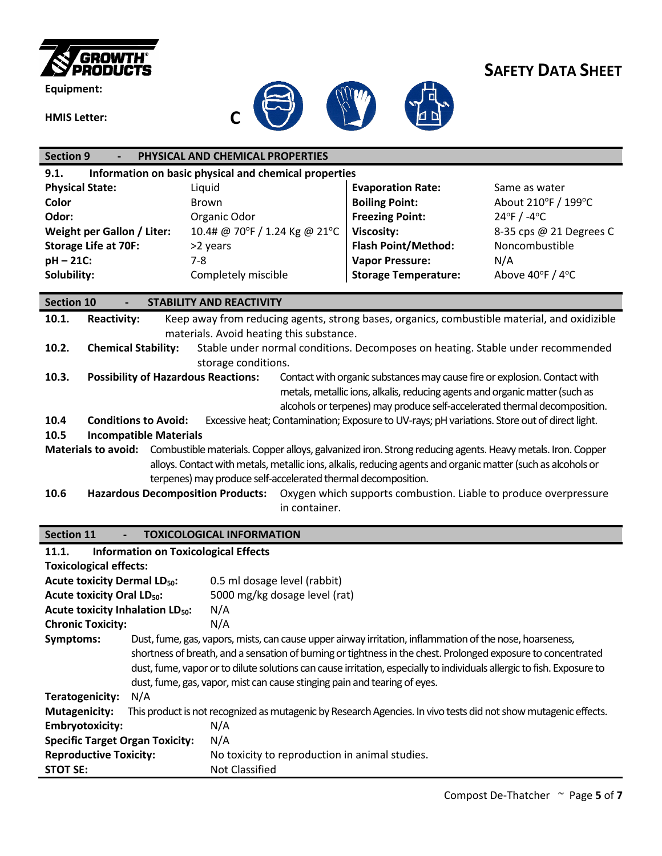

**Equipment:**



## **SAFETY DATA SHEET**

| <b>Section 9</b>                                    | PHYSICAL AND CHEMICAL PROPERTIES                                                                             |                                                                             |                                  |
|-----------------------------------------------------|--------------------------------------------------------------------------------------------------------------|-----------------------------------------------------------------------------|----------------------------------|
| 9.1.                                                | Information on basic physical and chemical properties                                                        |                                                                             |                                  |
| <b>Physical State:</b>                              | Liquid                                                                                                       | <b>Evaporation Rate:</b>                                                    | Same as water                    |
| Color                                               | <b>Brown</b>                                                                                                 | <b>Boiling Point:</b>                                                       | About 210°F / 199°C              |
| Odor:                                               | Organic Odor                                                                                                 | <b>Freezing Point:</b>                                                      | $24^{\circ}$ F / -4 $^{\circ}$ C |
| Weight per Gallon / Liter:                          | 10.4# @ 70°F / 1.24 Kg @ 21°C                                                                                | <b>Viscosity:</b>                                                           | 8-35 cps @ 21 Degrees C          |
| <b>Storage Life at 70F:</b>                         | >2 years                                                                                                     | <b>Flash Point/Method:</b>                                                  | Noncombustible                   |
| pH-21C:                                             | $7 - 8$                                                                                                      | <b>Vapor Pressure:</b>                                                      | N/A                              |
| Solubility:                                         | Completely miscible                                                                                          | <b>Storage Temperature:</b>                                                 | Above 40°F / 4°C                 |
|                                                     |                                                                                                              |                                                                             |                                  |
| <b>Section 10</b>                                   | <b>STABILITY AND REACTIVITY</b>                                                                              |                                                                             |                                  |
| 10.1.<br><b>Reactivity:</b>                         | Keep away from reducing agents, strong bases, organics, combustible material, and oxidizible                 |                                                                             |                                  |
|                                                     | materials. Avoid heating this substance.                                                                     |                                                                             |                                  |
| 10.2.<br><b>Chemical Stability:</b>                 | Stable under normal conditions. Decomposes on heating. Stable under recommended                              |                                                                             |                                  |
|                                                     | storage conditions.                                                                                          |                                                                             |                                  |
| 10.3.<br><b>Possibility of Hazardous Reactions:</b> |                                                                                                              | Contact with organic substances may cause fire or explosion. Contact with   |                                  |
|                                                     |                                                                                                              | metals, metallic ions, alkalis, reducing agents and organic matter (such as |                                  |
|                                                     |                                                                                                              | alcohols or terpenes) may produce self-accelerated thermal decomposition.   |                                  |
| 10.4<br><b>Conditions to Avoid:</b>                 | Excessive heat; Contamination; Exposure to UV-rays; pH variations. Store out of direct light.                |                                                                             |                                  |
| 10.5<br><b>Incompatible Materials</b>               |                                                                                                              |                                                                             |                                  |
| <b>Materials to avoid:</b>                          | Combustible materials. Copper alloys, galvanized iron. Strong reducing agents. Heavy metals. Iron. Copper    |                                                                             |                                  |
|                                                     | alloys. Contact with metals, metallic ions, alkalis, reducing agents and organic matter (such as alcohols or |                                                                             |                                  |
|                                                     | terpenes) may produce self-accelerated thermal decomposition.                                                |                                                                             |                                  |
| 10.6<br><b>Hazardous Decomposition Products:</b>    |                                                                                                              | Oxygen which supports combustion. Liable to produce overpressure            |                                  |
|                                                     | in container.                                                                                                |                                                                             |                                  |
|                                                     |                                                                                                              |                                                                             |                                  |
| <b>Section 11</b>                                   | <b>TOXICOLOGICAL INFORMATION</b>                                                                             |                                                                             |                                  |

| 11.1.                                         | <b>Information on Toxicological Effects</b> |                                                                                                                        |  |  |  |
|-----------------------------------------------|---------------------------------------------|------------------------------------------------------------------------------------------------------------------------|--|--|--|
|                                               | <b>Toxicological effects:</b>               |                                                                                                                        |  |  |  |
| <b>Acute toxicity Dermal LD<sub>50</sub>:</b> |                                             | 0.5 ml dosage level (rabbit)                                                                                           |  |  |  |
| <b>Acute toxicity Oral LD<sub>50</sub>:</b>   |                                             | 5000 mg/kg dosage level (rat)                                                                                          |  |  |  |
| Acute toxicity Inhalation LD <sub>50</sub> :  |                                             | N/A                                                                                                                    |  |  |  |
| <b>Chronic Toxicity:</b>                      |                                             | N/A                                                                                                                    |  |  |  |
| Symptoms:                                     |                                             | Dust, fume, gas, vapors, mists, can cause upper airway irritation, inflammation of the nose, hoarseness,               |  |  |  |
|                                               |                                             | shortness of breath, and a sensation of burning or tightness in the chest. Prolonged exposure to concentrated          |  |  |  |
|                                               |                                             | dust, fume, vapor or to dilute solutions can cause irritation, especially to individuals allergic to fish. Exposure to |  |  |  |
|                                               |                                             | dust, fume, gas, vapor, mist can cause stinging pain and tearing of eyes.                                              |  |  |  |
| Teratogenicity:                               | N/A                                         |                                                                                                                        |  |  |  |
| <b>Mutagenicity:</b>                          |                                             | This product is not recognized as mutagenic by Research Agencies. In vivo tests did not show mutagenic effects.        |  |  |  |
| <b>Embryotoxicity:</b>                        |                                             | N/A                                                                                                                    |  |  |  |
| <b>Specific Target Organ Toxicity:</b>        |                                             | N/A                                                                                                                    |  |  |  |
| <b>Reproductive Toxicity:</b>                 |                                             | No toxicity to reproduction in animal studies.                                                                         |  |  |  |
| <b>STOT SE:</b>                               |                                             | Not Classified                                                                                                         |  |  |  |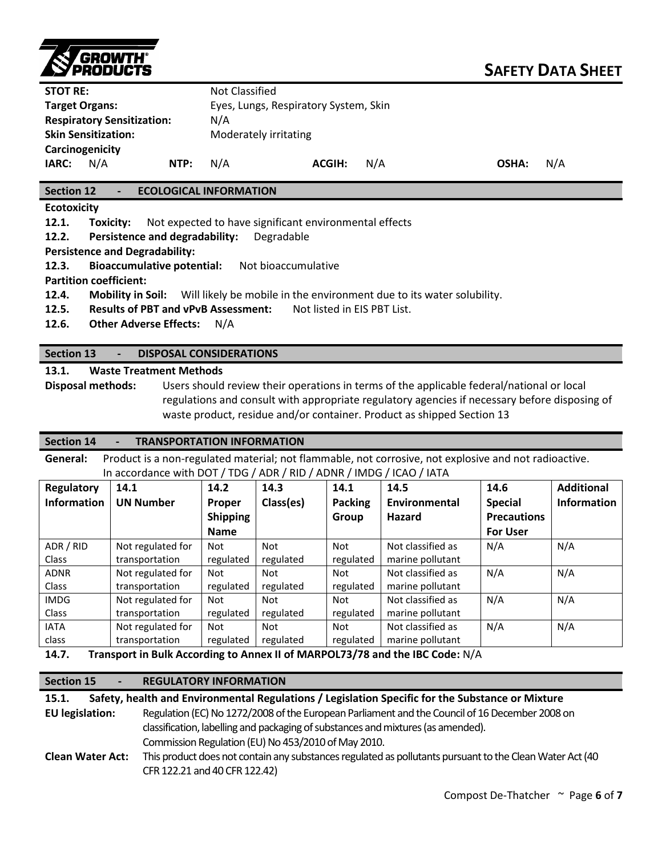

| <b>STOT RE:</b> |                                   |      | Not Classified                        |               |     |       |     |
|-----------------|-----------------------------------|------|---------------------------------------|---------------|-----|-------|-----|
|                 | <b>Target Organs:</b>             |      | Eyes, Lungs, Respiratory System, Skin |               |     |       |     |
|                 | <b>Respiratory Sensitization:</b> |      | N/A                                   |               |     |       |     |
|                 | <b>Skin Sensitization:</b>        |      | Moderately irritating                 |               |     |       |     |
|                 | Carcinogenicity                   |      |                                       |               |     |       |     |
| IARC:           | N/A                               | NTP: | N/A                                   | <b>ACGIH:</b> | N/A | OSHA: | N/A |

**Section 12 - ECOLOGICAL INFORMATION**

**Ecotoxicity**

**12.1. Toxicity:** Not expected to have significant environmental effects

**12.2. Persistence and degradability:** Degradable

**Persistence and Degradability:**

**12.3. Bioaccumulative potential:** Not bioaccumulative

**Partition coefficient:**

**12.4. Mobility in Soil:** Will likely be mobile in the environment due to its water solubility.

**12.5. Results of PBT and vPvB Assessment:** Not listed in EIS PBT List.

**12.6. Other Adverse Effects:** N/A

#### **Section 13 - DISPOSAL CONSIDERATIONS**

**13.1. Waste Treatment Methods**

**Disposal methods:** Users should review their operations in terms of the applicable federal/national or local regulations and consult with appropriate regulatory agencies if necessary before disposing of waste product, residue and/or container. Product as shipped Section 13

#### **Section 14 - TRANSPORTATION INFORMATION**

**General:** Product is a non-regulated material; not flammable, not corrosive, not explosive and not radioactive. In accordance with DOT / TDG / ADR / RID / ADNR / IMDG / ICAO / IATA

| <b>Regulatory</b>  | 14.1              | 14.2            | 14.3      | 14.1           | 14.5              | 14.6               | <b>Additional</b>  |
|--------------------|-------------------|-----------------|-----------|----------------|-------------------|--------------------|--------------------|
| <b>Information</b> | <b>UN Number</b>  | <b>Proper</b>   | Class(es) | <b>Packing</b> | Environmental     | <b>Special</b>     | <b>Information</b> |
|                    |                   | <b>Shipping</b> |           | Group          | Hazard            | <b>Precautions</b> |                    |
|                    |                   | <b>Name</b>     |           |                |                   | <b>For User</b>    |                    |
| ADR / RID          | Not regulated for | Not             | Not       | Not            | Not classified as | N/A                | N/A                |
| Class              | transportation    | regulated       | regulated | regulated      | marine pollutant  |                    |                    |
| <b>ADNR</b>        | Not regulated for | Not             | Not       | Not            | Not classified as | N/A                | N/A                |
| <b>Class</b>       | transportation    | regulated       | regulated | regulated      | marine pollutant  |                    |                    |
| <b>IMDG</b>        | Not regulated for | Not             | Not       | Not            | Not classified as | N/A                | N/A                |
| <b>Class</b>       | transportation    | regulated       | regulated | regulated      | marine pollutant  |                    |                    |
| <b>IATA</b>        | Not regulated for | Not             | Not       | Not            | Not classified as | N/A                | N/A                |
| class              | transportation    | regulated       | regulated | regulated      | marine pollutant  |                    |                    |

**14.7. Transport in Bulk According to Annex II of MARPOL73/78 and the IBC Code:** N/A

#### **Section 15 - REGULATORY INFORMATION**

**15.1. Safety, health and Environmental Regulations / Legislation Specific for the Substance or Mixture EU legislation:** Regulation(EC) No 1272/2008 of the European Parliament and the Councilof 16 December 2008 on classification, labelling and packaging of substances and mixtures (as amended). Commission Regulation (EU) No 453/2010 of May 2010. **Clean Water Act:** This product does not contain any substances regulated as pollutants pursuant to the Clean Water Act (40 CFR 122.21 and 40 CFR 122.42)